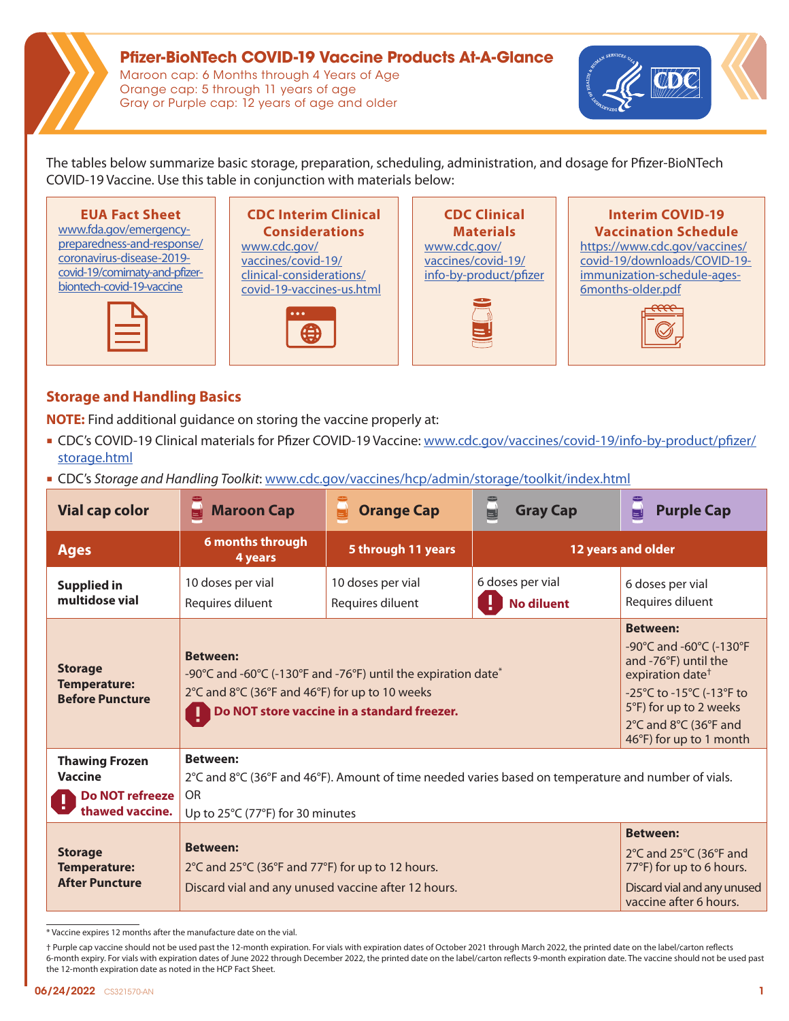# **Pfizer-BioNTech COVID-19 Vaccine Products At-A-Glance**

Maroon cap: 6 Months through 4 Years of Age Orange cap: 5 through 11 years of age Gray or Purple cap: 12 years of age and older



The tables below summarize basic storage, preparation, scheduling, administration, and dosage for Pfizer-BioNTech COVID-19 Vaccine. Use this table in conjunction with materials below:





# **CDC Interim Clinical Considerations**

[www.cdc.gov/](https://www.cdc.gov/vaccines/covid-19/clinical-considerations/covid-19-vaccines-us.html) [vaccines/covid-19/](https://www.cdc.gov/vaccines/covid-19/clinical-considerations/covid-19-vaccines-us.html) [clinical-considerations/](https://www.cdc.gov/vaccines/covid-19/clinical-considerations/covid-19-vaccines-us.html) [covid-19-vaccines-us.html](https://www.cdc.gov/vaccines/covid-19/clinical-considerations/covid-19-vaccines-us.html)



**CDC Clinical Materials**  [www.cdc.gov/](http://www.cdc.gov/vaccines/covid-19/info-by-product/pfizer) [vaccines/covid-19/](http://www.cdc.gov/vaccines/covid-19/info-by-product/pfizer) [info-by-product/pfizer](http://www.cdc.gov/vaccines/covid-19/info-by-product/pfizer)



#### **Interim COVID-19 Vaccination Schedule**  [https://www.cdc.gov/vaccines/](https://www.cdc.gov/vaccines/covid-19/downloads/COVID-19-immunization-schedule-ages-6months-older.pdf) [covid-19/downloads/COVID-19](https://www.cdc.gov/vaccines/covid-19/downloads/COVID-19-immunization-schedule-ages-6months-older.pdf) [immunization-schedule-ages-](https://www.cdc.gov/vaccines/covid-19/downloads/COVID-19-immunization-schedule-ages-6months-older.pdf)[6months-older.pdf](https://www.cdc.gov/vaccines/covid-19/downloads/COVID-19-immunization-schedule-ages-6months-older.pdf)



## **Storage and Handling Basics**

**NOTE:** Find additional guidance on storing the vaccine properly at:

- CDC's COVID-19 Clinical materials for Pfizer COVID-19 Vaccine: [www.cdc.gov/vaccines/covid-19/info-by-product/pfizer/](https://www.cdc.gov/vaccines/covid-19/info-by-product/pfizer/storage.html) [storage.html](https://www.cdc.gov/vaccines/covid-19/info-by-product/pfizer/storage.html)
- CDC's *Storage and Handling Toolkit*: [www.cdc.gov/vaccines/hcp/admin/storage/toolkit/index.html](http://www.cdc.gov/vaccines/hcp/admin/storage/toolkit/index.html)

| <b>Vial cap color</b>                                                                | <b>OLED!</b><br><b>Maroon Cap</b>                                                                                                                                                             | <b>Orange Cap</b>                                                                                                                                                                                            | <b>Gray Cap</b>                       | ۳<br><b>Purple Cap</b>                                                                                                         |  |  |
|--------------------------------------------------------------------------------------|-----------------------------------------------------------------------------------------------------------------------------------------------------------------------------------------------|--------------------------------------------------------------------------------------------------------------------------------------------------------------------------------------------------------------|---------------------------------------|--------------------------------------------------------------------------------------------------------------------------------|--|--|
| <b>Ages</b>                                                                          | 6 months through<br>5 through 11 years<br>4 years                                                                                                                                             |                                                                                                                                                                                                              | 12 years and older                    |                                                                                                                                |  |  |
| <b>Supplied in</b><br>multidose vial                                                 | 10 doses per vial<br>Requires diluent                                                                                                                                                         | 10 doses per vial<br>Requires diluent                                                                                                                                                                        | 6 doses per vial<br><b>No diluent</b> | 6 doses per vial<br>Requires diluent                                                                                           |  |  |
| <b>Storage</b><br><b>Temperature:</b><br><b>Before Puncture</b>                      | <b>Between:</b><br>-90°C and -60°C (-130°F and -76°F) until the expiration date <sup>*</sup><br>2°C and 8°C (36°F and 46°F) for up to 10 weeks<br>Do NOT store vaccine in a standard freezer. | <b>Between:</b><br>-90°C and -60°C (-130°F<br>and -76°F) until the<br>expiration date <sup>+</sup><br>-25°C to -15°C (-13°F to<br>5°F) for up to 2 weeks<br>2°C and 8°C (36°F and<br>46°F) for up to 1 month |                                       |                                                                                                                                |  |  |
| <b>Thawing Frozen</b><br><b>Vaccine</b><br><b>Do NOT refreeze</b><br>thawed vaccine. | <b>Between:</b><br>2°C and 8°C (36°F and 46°F). Amount of time needed varies based on temperature and number of vials.<br><b>OR</b><br>Up to 25°C (77°F) for 30 minutes                       |                                                                                                                                                                                                              |                                       |                                                                                                                                |  |  |
| <b>Storage</b><br><b>Temperature:</b><br><b>After Puncture</b>                       | <b>Between:</b><br>2°C and 25°C (36°F and 77°F) for up to 12 hours.<br>Discard vial and any unused vaccine after 12 hours.                                                                    |                                                                                                                                                                                                              |                                       | <b>Between:</b><br>2°C and 25°C (36°F and<br>77°F) for up to 6 hours.<br>Discard vial and any unused<br>vaccine after 6 hours. |  |  |

\* Vaccine expires 12 months after the manufacture date on the vial.

† Purple cap vaccine should not be used past the 12-month expiration. For vials with expiration dates of October 2021 through March 2022, the printed date on the label/carton reflects 6-month expiry. For vials with expiration dates of June 2022 through December 2022, the printed date on the label/carton reflects 9-month expiration date. The vaccine should not be used past the 12-month expiration date as noted in the HCP Fact Sheet.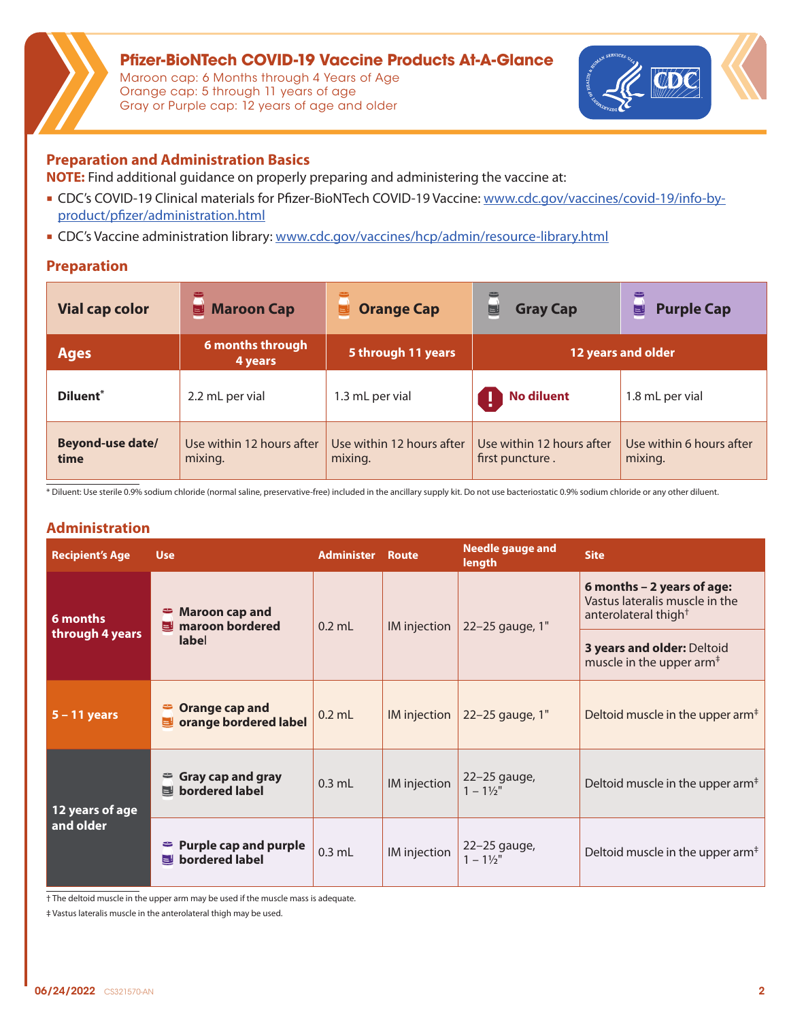

**Pfizer-BioNTech COVID-19 Vaccine Products At-A-Glance**  Maroon cap: 6 Months through 4 Years of Age Orange cap: 5 through 11 years of age Gray or Purple cap: 12 years of age and older



## **Preparation and Administration Basics**

**NOTE:** Find additional guidance on properly preparing and administering the vaccine at:

- CDC's COVID-19 Clinical materials for Pfizer-BioNTech COVID-19 Vaccine: [www.cdc.gov/vaccines/covid-19/info-by](https://www.cdc.gov/vaccines/covid-19/info-by-product/pfizer/administration.html)[product/pfizer/administration.html](https://www.cdc.gov/vaccines/covid-19/info-by-product/pfizer/administration.html)
- CDC's Vaccine administration library: [www.cdc.gov/vaccines/hcp/admin/resource-library.html](https://www.cdc.gov/vaccines/hcp/admin/resource-library.html)

#### **Preparation**

| <b>Vial cap color</b> | <b>Maroon Cap</b>           | <b>Orange Cap</b>         | <b>Gray Cap</b>           | <b>Purple Cap</b>        |
|-----------------------|-----------------------------|---------------------------|---------------------------|--------------------------|
|                       | 틸                           | u                         | U                         | U                        |
| <b>Ages</b>           | 6 months through<br>4 years | 5 through 11 years        | 12 years and older        |                          |
| Diluent*              | 2.2 mL per vial             | 1.3 mL per vial           | <b>No diluent</b>         | 1.8 mL per vial          |
| Beyond-use date/      | Use within 12 hours after   | Use within 12 hours after | Use within 12 hours after | Use within 6 hours after |
| time                  | mixing.                     | mixing.                   | first puncture.           | mixing.                  |

\* Diluent: Use sterile 0.9% sodium chloride (normal saline, preservative-free) included in the ancillary supply kit. Do not use bacteriostatic 0.9% sodium chloride or any other diluent.

### **Administration**

| <b>Recipient's Age</b>        | <b>Use</b>                                               | <b>Administer</b> | Route        | <b>Needle gauge and</b><br>length    | <b>Site</b>                                                                                      |
|-------------------------------|----------------------------------------------------------|-------------------|--------------|--------------------------------------|--------------------------------------------------------------------------------------------------|
| $6$ months<br>through 4 years | <b>Maroon cap and</b><br>maroon bordered<br><b>label</b> | $0.2$ mL          | IM injection | 22-25 gauge, 1"                      | 6 months - 2 years of age:<br>Vastus lateralis muscle in the<br>anterolateral thigh <sup>+</sup> |
|                               |                                                          |                   |              |                                      | 3 years and older: Deltoid<br>muscle in the upper arm <sup>#</sup>                               |
| $5 - 11$ years                | Orange cap and<br>orange bordered label                  | $0.2$ mL          | IM injection | 22-25 gauge, 1"                      | Deltoid muscle in the upper $arm^{\ddagger}$                                                     |
| 12 years of age<br>and older  | <b>Gray cap and gray</b><br>bordered label               | $0.3$ mL          | IM injection | $22-25$ gauge,<br>$1 - 1\frac{1}{2}$ | Deltoid muscle in the upper arm <sup><math>\ddagger</math></sup>                                 |
|                               | <b>Purple cap and purple</b><br>bordered label           | $0.3$ mL          | IM injection | $22-25$ gauge,<br>$1 - 1\frac{1}{2}$ | Deltoid muscle in the upper arm <sup>#</sup>                                                     |

† The deltoid muscle in the upper arm may be used if the muscle mass is adequate.

‡ Vastus lateralis muscle in the anterolateral thigh may be used.